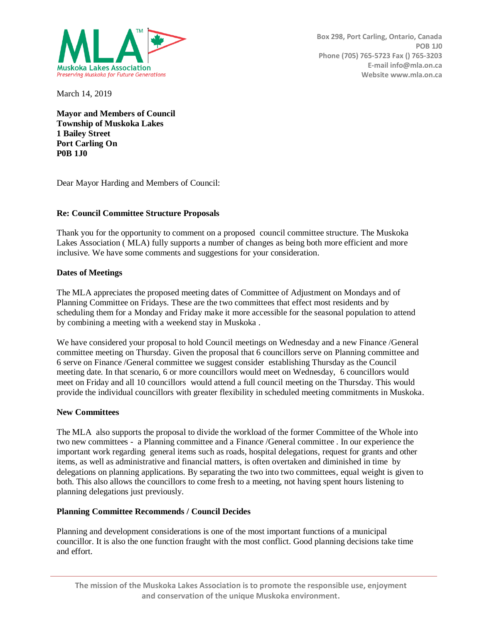

March 14, 2019

**Mayor and Members of Council Township of Muskoka Lakes 1 Bailey Street Port Carling On P0B 1J0** 

Dear Mayor Harding and Members of Council:

# **Re: Council Committee Structure Proposals**

Thank you for the opportunity to comment on a proposed council committee structure. The Muskoka Lakes Association ( MLA) fully supports a number of changes as being both more efficient and more inclusive. We have some comments and suggestions for your consideration.

### **Dates of Meetings**

The MLA appreciates the proposed meeting dates of Committee of Adjustment on Mondays and of Planning Committee on Fridays. These are the two committees that effect most residents and by scheduling them for a Monday and Friday make it more accessible for the seasonal population to attend by combining a meeting with a weekend stay in Muskoka .

We have considered your proposal to hold Council meetings on Wednesday and a new Finance /General committee meeting on Thursday. Given the proposal that 6 councillors serve on Planning committee and 6 serve on Finance /General committee we suggest consider establishing Thursday as the Council meeting date. In that scenario, 6 or more councillors would meet on Wednesday, 6 councillors would meet on Friday and all 10 councillors would attend a full council meeting on the Thursday. This would provide the individual councillors with greater flexibility in scheduled meeting commitments in Muskoka.

### **New Committees**

The MLA also supports the proposal to divide the workload of the former Committee of the Whole into two new committees - a Planning committee and a Finance /General committee . In our experience the important work regarding general items such as roads, hospital delegations, request for grants and other items, as well as administrative and financial matters, is often overtaken and diminished in time by delegations on planning applications. By separating the two into two committees, equal weight is given to both. This also allows the councillors to come fresh to a meeting, not having spent hours listening to planning delegations just previously.

### **Planning Committee Recommends / Council Decides**

Planning and development considerations is one of the most important functions of a municipal councillor. It is also the one function fraught with the most conflict. Good planning decisions take time and effort.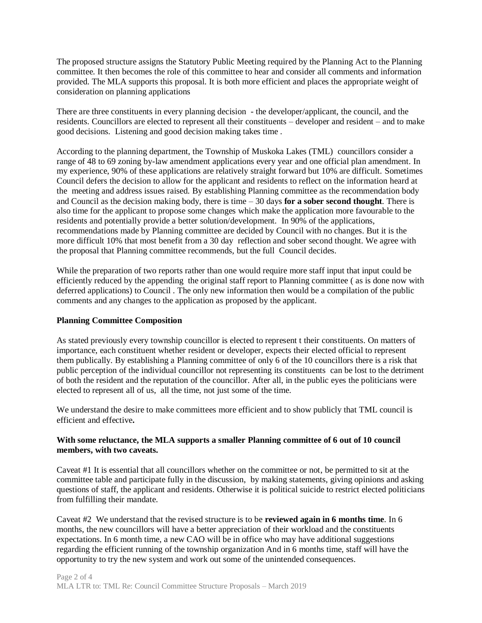The proposed structure assigns the Statutory Public Meeting required by the Planning Act to the Planning committee. It then becomes the role of this committee to hear and consider all comments and information provided. The MLA supports this proposal. It is both more efficient and places the appropriate weight of consideration on planning applications

There are three constituents in every planning decision - the developer/applicant, the council, and the residents. Councillors are elected to represent all their constituents – developer and resident – and to make good decisions. Listening and good decision making takes time .

According to the planning department, the Township of Muskoka Lakes (TML) councillors consider a range of 48 to 69 zoning by-law amendment applications every year and one official plan amendment. In my experience, 90% of these applications are relatively straight forward but 10% are difficult. Sometimes Council defers the decision to allow for the applicant and residents to reflect on the information heard at the meeting and address issues raised. By establishing Planning committee as the recommendation body and Council as the decision making body, there is time – 30 days **for a sober second thought**. There is also time for the applicant to propose some changes which make the application more favourable to the residents and potentially provide a better solution/development. In 90% of the applications, recommendations made by Planning committee are decided by Council with no changes. But it is the more difficult 10% that most benefit from a 30 day reflection and sober second thought. We agree with the proposal that Planning committee recommends, but the full Council decides.

While the preparation of two reports rather than one would require more staff input that input could be efficiently reduced by the appending the original staff report to Planning committee ( as is done now with deferred applications) to Council . The only new information then would be a compilation of the public comments and any changes to the application as proposed by the applicant.

### **Planning Committee Composition**

As stated previously every township councillor is elected to represent t their constituents. On matters of importance, each constituent whether resident or developer, expects their elected official to represent them publically. By establishing a Planning committee of only 6 of the 10 councillors there is a risk that public perception of the individual councillor not representing its constituents can be lost to the detriment of both the resident and the reputation of the councillor. After all, in the public eyes the politicians were elected to represent all of us, all the time, not just some of the time.

We understand the desire to make committees more efficient and to show publicly that TML council is efficient and effective**.** 

### **With some reluctance, the MLA supports a smaller Planning committee of 6 out of 10 council members, with two caveats.**

Caveat #1 It is essential that all councillors whether on the committee or not, be permitted to sit at the committee table and participate fully in the discussion, by making statements, giving opinions and asking questions of staff, the applicant and residents. Otherwise it is political suicide to restrict elected politicians from fulfilling their mandate.

Caveat #2 We understand that the revised structure is to be **reviewed again in 6 months time**. In 6 months, the new councillors will have a better appreciation of their workload and the constituents expectations. In 6 month time, a new CAO will be in office who may have additional suggestions regarding the efficient running of the township organization And in 6 months time, staff will have the opportunity to try the new system and work out some of the unintended consequences.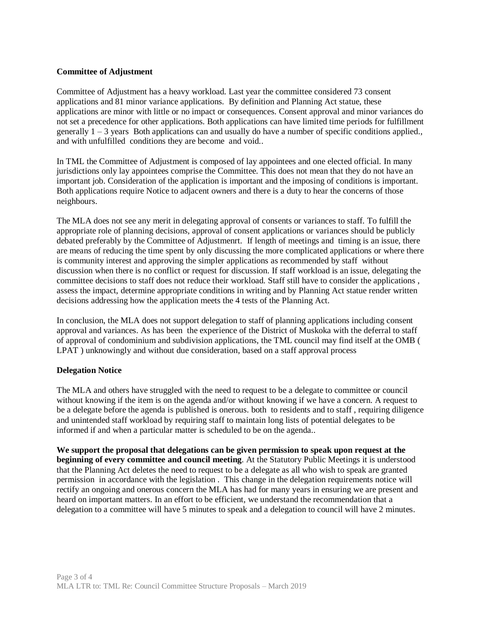# **Committee of Adjustment**

Committee of Adjustment has a heavy workload. Last year the committee considered 73 consent applications and 81 minor variance applications. By definition and Planning Act statue, these applications are minor with little or no impact or consequences. Consent approval and minor variances do not set a precedence for other applications. Both applications can have limited time periods for fulfillment generally  $1 - 3$  years Both applications can and usually do have a number of specific conditions applied., and with unfulfilled conditions they are become and void..

In TML the Committee of Adjustment is composed of lay appointees and one elected official. In many jurisdictions only lay appointees comprise the Committee. This does not mean that they do not have an important job. Consideration of the application is important and the imposing of conditions is important. Both applications require Notice to adjacent owners and there is a duty to hear the concerns of those neighbours.

The MLA does not see any merit in delegating approval of consents or variances to staff. To fulfill the appropriate role of planning decisions, approval of consent applications or variances should be publicly debated preferably by the Committee of Adjustmenrt. If length of meetings and timing is an issue, there are means of reducing the time spent by only discussing the more complicated applications or where there is community interest and approving the simpler applications as recommended by staff without discussion when there is no conflict or request for discussion. If staff workload is an issue, delegating the committee decisions to staff does not reduce their workload. Staff still have to consider the applications , assess the impact, determine appropriate conditions in writing and by Planning Act statue render written decisions addressing how the application meets the 4 tests of the Planning Act.

In conclusion, the MLA does not support delegation to staff of planning applications including consent approval and variances. As has been the experience of the District of Muskoka with the deferral to staff of approval of condominium and subdivision applications, the TML council may find itself at the OMB ( LPAT ) unknowingly and without due consideration, based on a staff approval process

### **Delegation Notice**

The MLA and others have struggled with the need to request to be a delegate to committee or council without knowing if the item is on the agenda and/or without knowing if we have a concern. A request to be a delegate before the agenda is published is onerous. both to residents and to staff , requiring diligence and unintended staff workload by requiring staff to maintain long lists of potential delegates to be informed if and when a particular matter is scheduled to be on the agenda..

**We support the proposal that delegations can be given permission to speak upon request at the beginning of every committee and council meeting**. At the Statutory Public Meetings it is understood that the Planning Act deletes the need to request to be a delegate as all who wish to speak are granted permission in accordance with the legislation . This change in the delegation requirements notice will rectify an ongoing and onerous concern the MLA has had for many years in ensuring we are present and heard on important matters. In an effort to be efficient, we understand the recommendation that a delegation to a committee will have 5 minutes to speak and a delegation to council will have 2 minutes.